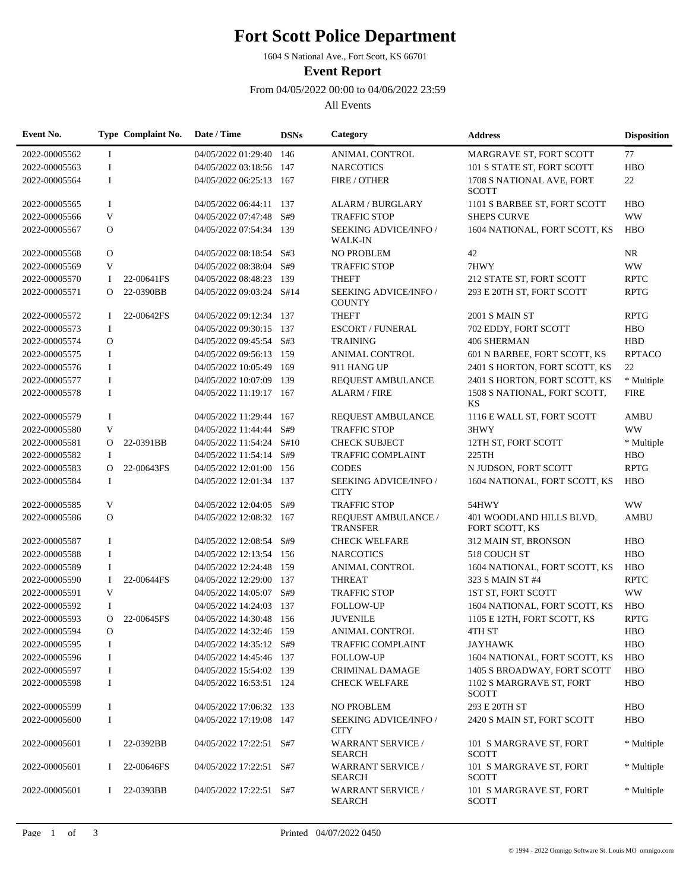## **Fort Scott Police Department**

1604 S National Ave., Fort Scott, KS 66701

**Event Report**

From 04/05/2022 00:00 to 04/06/2022 23:59

All Events

| Event No.     |              | Type Complaint No. | Date / Time              | <b>DSNs</b> | Category                                   | <b>Address</b>                             | <b>Disposition</b> |
|---------------|--------------|--------------------|--------------------------|-------------|--------------------------------------------|--------------------------------------------|--------------------|
| 2022-00005562 | $\bf{I}$     |                    | 04/05/2022 01:29:40 146  |             | <b>ANIMAL CONTROL</b>                      | MARGRAVE ST, FORT SCOTT                    | 77                 |
| 2022-00005563 | $\bf{I}$     |                    | 04/05/2022 03:18:56 147  |             | <b>NARCOTICS</b>                           | 101 S STATE ST, FORT SCOTT                 | <b>HBO</b>         |
| 2022-00005564 | $\mathbf I$  |                    | 04/05/2022 06:25:13 167  |             | FIRE / OTHER                               | 1708 S NATIONAL AVE, FORT<br><b>SCOTT</b>  | 22                 |
| 2022-00005565 | 1            |                    | 04/05/2022 06:44:11 137  |             | <b>ALARM / BURGLARY</b>                    | 1101 S BARBEE ST, FORT SCOTT               | <b>HBO</b>         |
| 2022-00005566 | V            |                    | 04/05/2022 07:47:48 S#9  |             | <b>TRAFFIC STOP</b>                        | <b>SHEPS CURVE</b>                         | <b>WW</b>          |
| 2022-00005567 | $\mathbf{O}$ |                    | 04/05/2022 07:54:34 139  |             | SEEKING ADVICE/INFO /<br><b>WALK-IN</b>    | 1604 NATIONAL, FORT SCOTT, KS              | <b>HBO</b>         |
| 2022-00005568 | $\mathbf{O}$ |                    | 04/05/2022 08:18:54 S#3  |             | NO PROBLEM                                 | 42                                         | NR                 |
| 2022-00005569 | V            |                    | 04/05/2022 08:38:04 S#9  |             | <b>TRAFFIC STOP</b>                        | 7HWY                                       | <b>WW</b>          |
| 2022-00005570 | 1            | 22-00641FS         | 04/05/2022 08:48:23 139  |             | <b>THEFT</b>                               | 212 STATE ST, FORT SCOTT                   | <b>RPTC</b>        |
| 2022-00005571 | $\Omega$     | 22-0390BB          | 04/05/2022 09:03:24 S#14 |             | SEEKING ADVICE/INFO /<br><b>COUNTY</b>     | 293 E 20TH ST, FORT SCOTT                  | <b>RPTG</b>        |
| 2022-00005572 | L            | 22-00642FS         | 04/05/2022 09:12:34 137  |             | <b>THEFT</b>                               | <b>2001 S MAIN ST</b>                      | <b>RPTG</b>        |
| 2022-00005573 | 1            |                    | 04/05/2022 09:30:15 137  |             | <b>ESCORT / FUNERAL</b>                    | 702 EDDY, FORT SCOTT                       | <b>HBO</b>         |
| 2022-00005574 | $\mathbf{O}$ |                    | 04/05/2022 09:45:54 S#3  |             | <b>TRAINING</b>                            | 406 SHERMAN                                | <b>HBD</b>         |
| 2022-00005575 | 1            |                    | 04/05/2022 09:56:13 159  |             | <b>ANIMAL CONTROL</b>                      | 601 N BARBEE, FORT SCOTT, KS               | <b>RPTACO</b>      |
| 2022-00005576 | 1            |                    | 04/05/2022 10:05:49      | - 169       | 911 HANG UP                                | 2401 S HORTON, FORT SCOTT, KS              | 22                 |
| 2022-00005577 | $\mathbf I$  |                    | 04/05/2022 10:07:09 139  |             | REQUEST AMBULANCE                          | 2401 S HORTON, FORT SCOTT, KS              | * Multiple         |
| 2022-00005578 | $\mathbf I$  |                    | 04/05/2022 11:19:17 167  |             | <b>ALARM / FIRE</b>                        | 1508 S NATIONAL, FORT SCOTT,<br>KS         | <b>FIRE</b>        |
| 2022-00005579 | $\bf{I}$     |                    | 04/05/2022 11:29:44      | 167         | REQUEST AMBULANCE                          | 1116 E WALL ST, FORT SCOTT                 | <b>AMBU</b>        |
| 2022-00005580 | V            |                    | 04/05/2022 11:44:44      | S#9         | <b>TRAFFIC STOP</b>                        | 3HWY                                       | <b>WW</b>          |
| 2022-00005581 | 0            | 22-0391BB          | 04/05/2022 11:54:24 S#10 |             | <b>CHECK SUBJECT</b>                       | 12TH ST, FORT SCOTT                        | * Multiple         |
| 2022-00005582 | 1            |                    | 04/05/2022 11:54:14 S#9  |             | <b>TRAFFIC COMPLAINT</b>                   | 225TH                                      | <b>HBO</b>         |
| 2022-00005583 | O            | 22-00643FS         | 04/05/2022 12:01:00 156  |             | <b>CODES</b>                               | N JUDSON, FORT SCOTT                       | <b>RPTG</b>        |
| 2022-00005584 | 1            |                    | 04/05/2022 12:01:34 137  |             | SEEKING ADVICE/INFO /<br><b>CITY</b>       | 1604 NATIONAL, FORT SCOTT, KS              | <b>HBO</b>         |
| 2022-00005585 | V            |                    | 04/05/2022 12:04:05 S#9  |             | <b>TRAFFIC STOP</b>                        | 54HWY                                      | <b>WW</b>          |
| 2022-00005586 | $\mathbf{O}$ |                    | 04/05/2022 12:08:32 167  |             | REQUEST AMBULANCE /<br><b>TRANSFER</b>     | 401 WOODLAND HILLS BLVD,<br>FORT SCOTT, KS | <b>AMBU</b>        |
| 2022-00005587 | 1            |                    | 04/05/2022 12:08:54 S#9  |             | <b>CHECK WELFARE</b>                       | 312 MAIN ST, BRONSON                       | <b>HBO</b>         |
| 2022-00005588 | 1            |                    | 04/05/2022 12:13:54 156  |             | <b>NARCOTICS</b>                           | 518 COUCH ST                               | <b>HBO</b>         |
| 2022-00005589 | 1            |                    | 04/05/2022 12:24:48 159  |             | ANIMAL CONTROL                             | 1604 NATIONAL, FORT SCOTT, KS              | <b>HBO</b>         |
| 2022-00005590 | 1            | 22-00644FS         | 04/05/2022 12:29:00      | 137         | <b>THREAT</b>                              | 323 S MAIN ST #4                           | <b>RPTC</b>        |
| 2022-00005591 | $\mathbf{V}$ |                    | 04/05/2022 14:05:07 S#9  |             | <b>TRAFFIC STOP</b>                        | 1ST ST, FORT SCOTT                         | <b>WW</b>          |
| 2022-00005592 | $\mathbf I$  |                    | 04/05/2022 14:24:03 137  |             | <b>FOLLOW-UP</b>                           | 1604 NATIONAL, FORT SCOTT, KS              | <b>HBO</b>         |
| 2022-00005593 | О            | 22-00645FS         | 04/05/2022 14:30:48 156  |             | <b>JUVENILE</b>                            | 1105 E 12TH, FORT SCOTT, KS                | <b>RPTG</b>        |
| 2022-00005594 | $\Omega$     |                    | 04/05/2022 14:32:46 159  |             | ANIMAL CONTROL                             | 4TH ST                                     | <b>HBO</b>         |
| 2022-00005595 | 1            |                    | 04/05/2022 14:35:12 S#9  |             | <b>TRAFFIC COMPLAINT</b>                   | <b>JAYHAWK</b>                             | <b>HBO</b>         |
| 2022-00005596 | Ι            |                    | 04/05/2022 14:45:46 137  |             | <b>FOLLOW-UP</b>                           | 1604 NATIONAL, FORT SCOTT, KS              | <b>HBO</b>         |
| 2022-00005597 | I            |                    | 04/05/2022 15:54:02 139  |             | <b>CRIMINAL DAMAGE</b>                     | 1405 S BROADWAY, FORT SCOTT                | <b>HBO</b>         |
| 2022-00005598 | 1            |                    | 04/05/2022 16:53:51 124  |             | <b>CHECK WELFARE</b>                       | 1102 S MARGRAVE ST, FORT<br><b>SCOTT</b>   | <b>HBO</b>         |
| 2022-00005599 | I            |                    | 04/05/2022 17:06:32 133  |             | NO PROBLEM                                 | 293 E 20TH ST                              | <b>HBO</b>         |
| 2022-00005600 | I            |                    | 04/05/2022 17:19:08 147  |             | <b>SEEKING ADVICE/INFO/</b><br><b>CITY</b> | 2420 S MAIN ST, FORT SCOTT                 | <b>HBO</b>         |
| 2022-00005601 | $\mathbf{I}$ | 22-0392BB          | 04/05/2022 17:22:51 S#7  |             | <b>WARRANT SERVICE /</b><br><b>SEARCH</b>  | 101 S MARGRAVE ST, FORT<br><b>SCOTT</b>    | * Multiple         |
| 2022-00005601 | $\mathbf{I}$ | 22-00646FS         | 04/05/2022 17:22:51 S#7  |             | <b>WARRANT SERVICE /</b><br><b>SEARCH</b>  | 101 S MARGRAVE ST, FORT<br><b>SCOTT</b>    | * Multiple         |
| 2022-00005601 |              | $I$ 22-0393BB      | 04/05/2022 17:22:51 S#7  |             | <b>WARRANT SERVICE /</b><br><b>SEARCH</b>  | 101 S MARGRAVE ST, FORT<br><b>SCOTT</b>    | * Multiple         |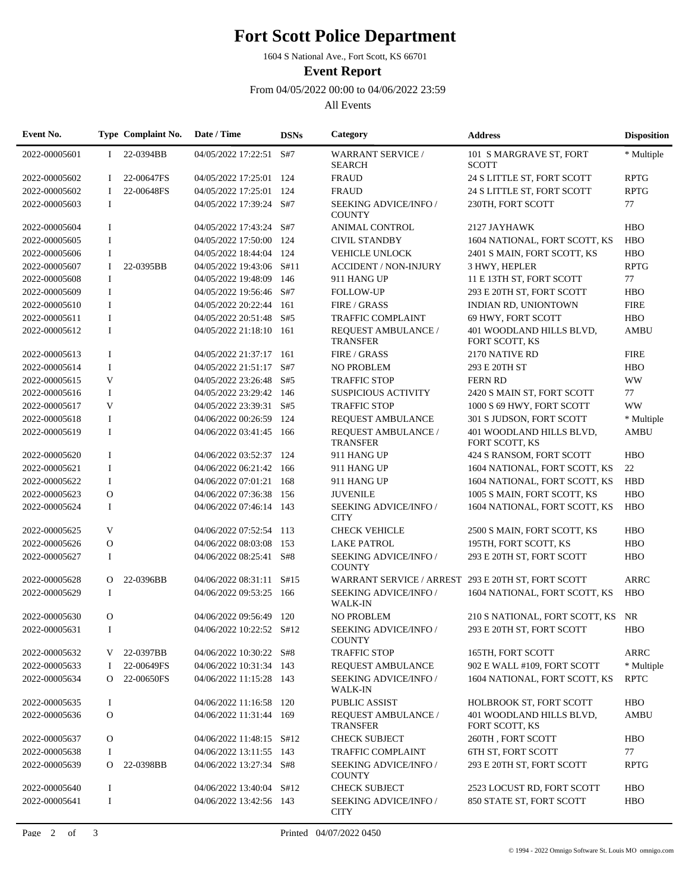## **Fort Scott Police Department**

1604 S National Ave., Fort Scott, KS 66701

**Event Report**

From 04/05/2022 00:00 to 04/06/2022 23:59

All Events

| Event No.     |              | Type Complaint No. | Date / Time              | <b>DSNs</b> | Category                                           | <b>Address</b>                             | <b>Disposition</b> |
|---------------|--------------|--------------------|--------------------------|-------------|----------------------------------------------------|--------------------------------------------|--------------------|
| 2022-00005601 | $\mathbf{I}$ | 22-0394BB          | 04/05/2022 17:22:51 S#7  |             | <b>WARRANT SERVICE /</b><br><b>SEARCH</b>          | 101 S MARGRAVE ST, FORT<br><b>SCOTT</b>    | * Multiple         |
| 2022-00005602 | Ι.           | 22-00647FS         | 04/05/2022 17:25:01 124  |             | <b>FRAUD</b>                                       | 24 S LITTLE ST, FORT SCOTT                 | <b>RPTG</b>        |
| 2022-00005602 | $\mathbf{I}$ | 22-00648FS         | 04/05/2022 17:25:01 124  |             | <b>FRAUD</b>                                       | 24 S LITTLE ST, FORT SCOTT                 | <b>RPTG</b>        |
| 2022-00005603 | $\mathbf I$  |                    | 04/05/2022 17:39:24 S#7  |             | SEEKING ADVICE/INFO /<br><b>COUNTY</b>             | 230TH, FORT SCOTT                          | 77                 |
| 2022-00005604 | $\bf{I}$     |                    | 04/05/2022 17:43:24 S#7  |             | <b>ANIMAL CONTROL</b>                              | 2127 JAYHAWK                               | <b>HBO</b>         |
| 2022-00005605 | $\bf{I}$     |                    | 04/05/2022 17:50:00      | 124         | <b>CIVIL STANDBY</b>                               | 1604 NATIONAL, FORT SCOTT, KS              | <b>HBO</b>         |
| 2022-00005606 | $\mathbf I$  |                    | 04/05/2022 18:44:04      | 124         | <b>VEHICLE UNLOCK</b>                              | 2401 S MAIN, FORT SCOTT, KS                | <b>HBO</b>         |
| 2022-00005607 | 1            | 22-0395BB          | 04/05/2022 19:43:06 S#11 |             | <b>ACCIDENT / NON-INJURY</b>                       | 3 HWY, HEPLER                              | <b>RPTG</b>        |
| 2022-00005608 | I            |                    | 04/05/2022 19:48:09      | 146         | 911 HANG UP                                        | 11 E 13TH ST, FORT SCOTT                   | 77                 |
| 2022-00005609 | $\mathbf I$  |                    | 04/05/2022 19:56:46 S#7  |             | <b>FOLLOW-UP</b>                                   | 293 E 20TH ST, FORT SCOTT                  | <b>HBO</b>         |
| 2022-00005610 | $\mathbf I$  |                    | 04/05/2022 20:22:44 161  |             | FIRE / GRASS                                       | INDIAN RD, UNIONTOWN                       | <b>FIRE</b>        |
| 2022-00005611 | $\mathbf I$  |                    | 04/05/2022 20:51:48 S#5  |             | <b>TRAFFIC COMPLAINT</b>                           | 69 HWY, FORT SCOTT                         | <b>HBO</b>         |
| 2022-00005612 | $\mathbf I$  |                    | 04/05/2022 21:18:10 161  |             | REQUEST AMBULANCE /<br><b>TRANSFER</b>             | 401 WOODLAND HILLS BLVD,<br>FORT SCOTT, KS | <b>AMBU</b>        |
| 2022-00005613 | $\mathbf I$  |                    | 04/05/2022 21:37:17 161  |             | FIRE / GRASS                                       | 2170 NATIVE RD                             | <b>FIRE</b>        |
| 2022-00005614 | $\mathbf I$  |                    | 04/05/2022 21:51:17 S#7  |             | <b>NO PROBLEM</b>                                  | 293 E 20TH ST                              | <b>HBO</b>         |
| 2022-00005615 | V            |                    | 04/05/2022 23:26:48 S#5  |             | <b>TRAFFIC STOP</b>                                | <b>FERN RD</b>                             | <b>WW</b>          |
| 2022-00005616 | $\mathbf I$  |                    | 04/05/2022 23:29:42 146  |             | <b>SUSPICIOUS ACTIVITY</b>                         | 2420 S MAIN ST, FORT SCOTT                 | 77                 |
| 2022-00005617 | V            |                    | 04/05/2022 23:39:31 S#5  |             | <b>TRAFFIC STOP</b>                                | 1000 S 69 HWY, FORT SCOTT                  | <b>WW</b>          |
| 2022-00005618 | I            |                    | 04/06/2022 00:26:59      | 124         | <b>REQUEST AMBULANCE</b>                           | 301 S JUDSON, FORT SCOTT                   | * Multiple         |
| 2022-00005619 | $\mathbf I$  |                    | 04/06/2022 03:41:45 166  |             | REQUEST AMBULANCE /<br><b>TRANSFER</b>             | 401 WOODLAND HILLS BLVD,<br>FORT SCOTT, KS | <b>AMBU</b>        |
| 2022-00005620 | 1            |                    | 04/06/2022 03:52:37 124  |             | 911 HANG UP                                        | 424 S RANSOM, FORT SCOTT                   | <b>HBO</b>         |
| 2022-00005621 | 1            |                    | 04/06/2022 06:21:42 166  |             | 911 HANG UP                                        | 1604 NATIONAL, FORT SCOTT, KS              | 22                 |
| 2022-00005622 | $\bf{I}$     |                    | 04/06/2022 07:01:21 168  |             | 911 HANG UP                                        | 1604 NATIONAL, FORT SCOTT, KS              | <b>HBD</b>         |
| 2022-00005623 | $\mathbf{O}$ |                    | 04/06/2022 07:36:38 156  |             | <b>JUVENILE</b>                                    | 1005 S MAIN, FORT SCOTT, KS                | <b>HBO</b>         |
| 2022-00005624 | $\mathbf I$  |                    | 04/06/2022 07:46:14 143  |             | SEEKING ADVICE/INFO /<br><b>CITY</b>               | 1604 NATIONAL, FORT SCOTT, KS              | <b>HBO</b>         |
| 2022-00005625 | V            |                    | 04/06/2022 07:52:54 113  |             | <b>CHECK VEHICLE</b>                               | 2500 S MAIN, FORT SCOTT, KS                | <b>HBO</b>         |
| 2022-00005626 | $\mathbf O$  |                    | 04/06/2022 08:03:08      | 153         | <b>LAKE PATROL</b>                                 | 195TH, FORT SCOTT, KS                      | <b>HBO</b>         |
| 2022-00005627 | I            |                    | 04/06/2022 08:25:41      | S#8         | SEEKING ADVICE/INFO /<br><b>COUNTY</b>             | 293 E 20TH ST, FORT SCOTT                  | <b>HBO</b>         |
| 2022-00005628 | $\Omega$     | 22-0396BB          | 04/06/2022 08:31:11      | S#15        | WARRANT SERVICE / ARREST 293 E 20TH ST, FORT SCOTT |                                            | <b>ARRC</b>        |
| 2022-00005629 | 1            |                    | 04/06/2022 09:53:25 166  |             | SEEKING ADVICE/INFO /<br><b>WALK-IN</b>            | 1604 NATIONAL, FORT SCOTT, KS              | <b>HBO</b>         |
| 2022-00005630 | $\mathbf{O}$ |                    | 04/06/2022 09:56:49      | 120         | <b>NO PROBLEM</b>                                  | 210 S NATIONAL, FORT SCOTT, KS             | NR                 |
| 2022-00005631 |              |                    | 04/06/2022 10:22:52 S#12 |             | SEEKING ADVICE/INFO /<br><b>COUNTY</b>             | 293 E 20TH ST. FORT SCOTT                  | <b>HBO</b>         |
| 2022-00005632 | V            | 22-0397BB          | 04/06/2022 10:30:22 S#8  |             | <b>TRAFFIC STOP</b>                                | 165TH, FORT SCOTT                          | <b>ARRC</b>        |
| 2022-00005633 | 1            | 22-00649FS         | 04/06/2022 10:31:34 143  |             | REQUEST AMBULANCE                                  | 902 E WALL #109, FORT SCOTT                | * Multiple         |
| 2022-00005634 | $\mathbf{O}$ | 22-00650FS         | 04/06/2022 11:15:28 143  |             | SEEKING ADVICE/INFO /<br><b>WALK-IN</b>            | 1604 NATIONAL, FORT SCOTT, KS              | <b>RPTC</b>        |
| 2022-00005635 | $\bf{I}$     |                    | 04/06/2022 11:16:58 120  |             | <b>PUBLIC ASSIST</b>                               | HOLBROOK ST, FORT SCOTT                    | <b>HBO</b>         |
| 2022-00005636 | $\mathbf{O}$ |                    | 04/06/2022 11:31:44 169  |             | REQUEST AMBULANCE /<br><b>TRANSFER</b>             | 401 WOODLAND HILLS BLVD,<br>FORT SCOTT, KS | <b>AMBU</b>        |
| 2022-00005637 | $\mathbf{O}$ |                    | 04/06/2022 11:48:15 S#12 |             | <b>CHECK SUBJECT</b>                               | 260TH, FORT SCOTT                          | <b>HBO</b>         |
| 2022-00005638 | I            |                    | 04/06/2022 13:11:55 143  |             | <b>TRAFFIC COMPLAINT</b>                           | <b>6TH ST, FORT SCOTT</b>                  | 77                 |
| 2022-00005639 | $\mathbf{O}$ | 22-0398BB          | 04/06/2022 13:27:34 S#8  |             | SEEKING ADVICE/INFO /<br><b>COUNTY</b>             | 293 E 20TH ST, FORT SCOTT                  | <b>RPTG</b>        |
| 2022-00005640 | $\mathbf I$  |                    | 04/06/2022 13:40:04 S#12 |             | <b>CHECK SUBJECT</b>                               | 2523 LOCUST RD, FORT SCOTT                 | <b>HBO</b>         |
| 2022-00005641 | $\bf{I}$     |                    | 04/06/2022 13:42:56 143  |             | SEEKING ADVICE/INFO /<br><b>CITY</b>               | 850 STATE ST, FORT SCOTT                   | <b>HBO</b>         |